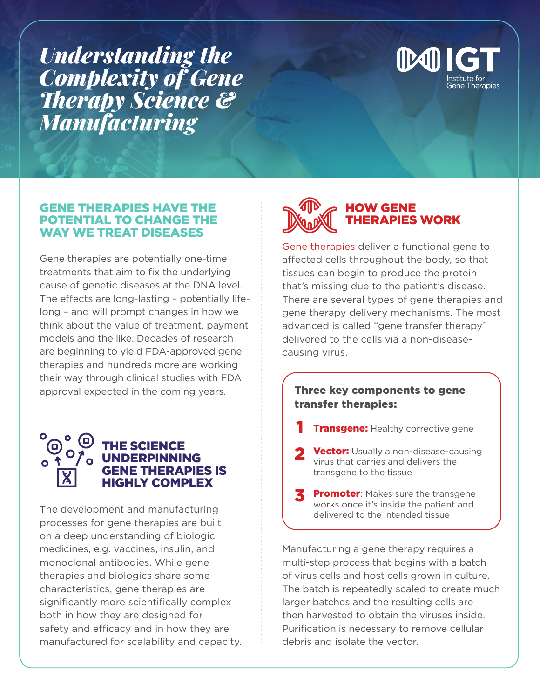*Understanding the Complexity of Gene Therapy Science & Manufacturing*



## GENE THERAPIES HAVE THE POTENTIAL TO CHANGE THE WAY WE TREAT DISEASES

Gene therapies are potentially one-time treatments that aim to fix the underlying cause of genetic diseases at the DNA level. The effects are long-lasting – potentially lifelong – and will prompt changes in how we think about the value of treatment, payment models and the like. Decades of research are beginning to yield FDA-approved gene therapies and hundreds more are working their way through clinical studies with FDA approval expected in the coming years.



The development and manufacturing processes for gene therapies are built on a deep understanding of biologic medicines, e.g. vaccines, insulin, and monoclonal antibodies. While gene therapies and biologics share some characteristics, gene therapies are significantly more scientifically complex both in how they are designed for safety and efficacy and in how they are manufactured for scalability and capacity.

## HOW GENE THERAPIES WORK

[Gene therapies](https://gtp.med.upenn.edu/about/what-is-gene-therapy) deliver a functional gene to affected cells throughout the body, so that tissues can begin to produce the protein that's missing due to the patient's disease. There are several types of gene therapies and gene therapy delivery mechanisms. The most advanced is called "gene transfer therapy" delivered to the cells via a non-diseasecausing virus.

## Three key components to gene transfer therapies:

- **Transgene:** Healthy corrective gene 1
- **Vector:** Usually a non-disease-causing virus that carries and delivers the transgene to the tissue 2
- **Promoter:** Makes sure the transgene works once it's inside the patient and delivered to the intended tissue 3

Manufacturing a gene therapy requires a multi-step process that begins with a batch of virus cells and host cells grown in culture. The batch is repeatedly scaled to create much larger batches and the resulting cells are then harvested to obtain the viruses inside. Purification is necessary to remove cellular debris and isolate the vector.